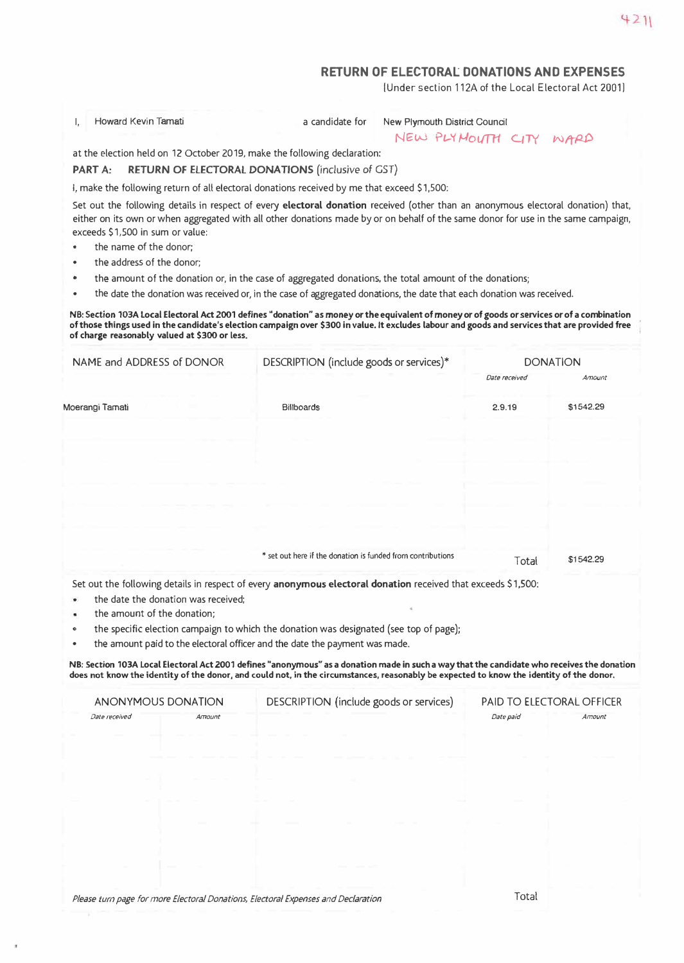## **RETURN OF ELECTORAl DONATIONS AND EXPENSES**

[Under section 112A of the Local Electoral Act 2001]

I, Howard Kevin Tamati **All a candidate for New Plymouth District Council** 

NEW PLYMOUTH CITY WARD

at the election held on 12 October 2019, make the following declaration:

## **PART A: RETURN OF ELECTORAL DONATIONS** *(inclusive of* **GST)**

I, make the following return of all electoral donations received by me that exceed \$1,500:

Set out the following details in respect of every **electoral donation** received (other than an anonymous electoral donation) that, either on its own or when aggregated with all other donations made by or on behalf of the same donor for use in the same campaign, exceeds \$1,500 in sum or value:

- the name of the donor:
- the address of the donor;
- the amount of the donation or, in the case of aggregated donations, the total amount of the donations;
- the date the donation was received or, in the case of aggregated donations, the date that each donation was received.

**NB: Section 103A local Electoral Act 2001 defines "donation" as money or the equivalent of money or of goods or services or of a combination of those things used in the candidate's election campaign over \$300 in value. It excludes labour and goods and services that are provided free of charge reasonably valued at \$300 or less.** 

| Date received<br>Amount<br>2.9.19<br>\$1542.29                                                                |
|---------------------------------------------------------------------------------------------------------------|
|                                                                                                               |
|                                                                                                               |
|                                                                                                               |
|                                                                                                               |
|                                                                                                               |
|                                                                                                               |
|                                                                                                               |
| * set out here if the donation is funded from contributions<br>\$1542.29<br>Total                             |
| Set out the following details in respect of every anonymous electoral donation received that exceeds \$1,500: |

- the specific election campaign to which the donation was designated (see top of page);
- the amount paid to the electoral officer and the date the payment was made.

**NB: Section 103A local Electoral Act 2001 defines "anonymous" as a donation made in such a way that the candidate who receives the donation does not know the identity of the donor, and could not, in the circumstances, reasonably be expected to know the identity of the donor.** 

| ANONYMOUS DONATION       |        | DESCRIPTION (include goods or services) | <b>PAID TO ELECTORAL OFFICER</b> |        |  |
|--------------------------|--------|-----------------------------------------|----------------------------------|--------|--|
| Date received            | Amount |                                         | Date paid                        | Amount |  |
| <b>Contract Contract</b> |        |                                         |                                  |        |  |